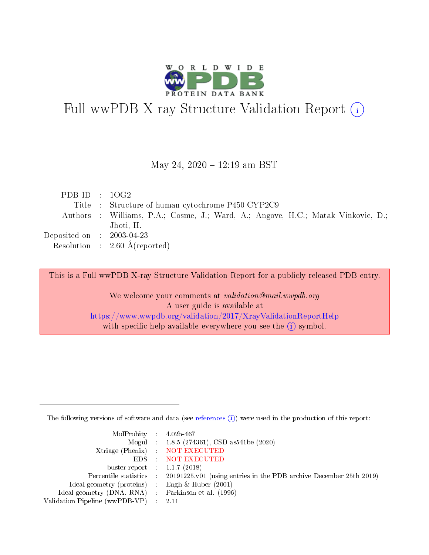

# Full wwPDB X-ray Structure Validation Report (i)

#### May 24, 2020 - 12:19 am BST

| PDB ID : $10G2$             |                                                                                  |
|-----------------------------|----------------------------------------------------------------------------------|
|                             | Title : Structure of human cytochrome P450 CYP2C9                                |
|                             | Authors : Williams, P.A.; Cosme, J.; Ward, A.; Angove, H.C.; Matak Vinkovic, D.; |
|                             | Jhoti, H.                                                                        |
| Deposited on : $2003-04-23$ |                                                                                  |
|                             | Resolution : $2.60 \text{ Å}$ (reported)                                         |

This is a Full wwPDB X-ray Structure Validation Report for a publicly released PDB entry.

We welcome your comments at validation@mail.wwpdb.org A user guide is available at <https://www.wwpdb.org/validation/2017/XrayValidationReportHelp> with specific help available everywhere you see the  $(i)$  symbol.

The following versions of software and data (see [references](https://www.wwpdb.org/validation/2017/XrayValidationReportHelp#references)  $(i)$ ) were used in the production of this report:

| MolProbity : $4.02b-467$                            |                                                                                            |
|-----------------------------------------------------|--------------------------------------------------------------------------------------------|
|                                                     | Mogul : 1.8.5 (274361), CSD as 541be (2020)                                                |
|                                                     | Xtriage (Phenix) NOT EXECUTED                                                              |
|                                                     | EDS : NOT EXECUTED                                                                         |
| buster-report : $1.1.7(2018)$                       |                                                                                            |
|                                                     | Percentile statistics : 20191225.v01 (using entries in the PDB archive December 25th 2019) |
| Ideal geometry (proteins) : Engh $\&$ Huber (2001)  |                                                                                            |
| Ideal geometry (DNA, RNA) : Parkinson et al. (1996) |                                                                                            |
| Validation Pipeline (wwPDB-VP) : 2.11               |                                                                                            |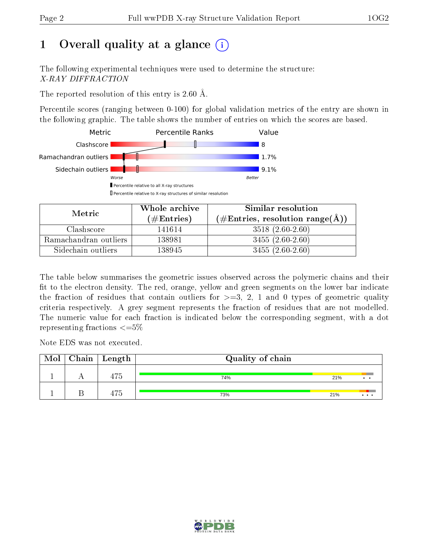## 1 [O](https://www.wwpdb.org/validation/2017/XrayValidationReportHelp#overall_quality)verall quality at a glance  $(i)$

The following experimental techniques were used to determine the structure: X-RAY DIFFRACTION

The reported resolution of this entry is 2.60 Å.

Percentile scores (ranging between 0-100) for global validation metrics of the entry are shown in the following graphic. The table shows the number of entries on which the scores are based.



| Metric                | Whole archive<br>(# $\rm{Entries}$ ) | Similar resolution<br>$(\#\text{Entries}, \text{resolution range}(\text{\AA}) )$ |  |  |
|-----------------------|--------------------------------------|----------------------------------------------------------------------------------|--|--|
| Clashscore            | 141614                               | $3518(2.60-2.60)$                                                                |  |  |
| Ramachandran outliers | 138981                               | $3455(2.60-2.60)$                                                                |  |  |
| Sidechain outliers    | 138945                               | $3455(2.60-2.60)$                                                                |  |  |

The table below summarises the geometric issues observed across the polymeric chains and their fit to the electron density. The red, orange, yellow and green segments on the lower bar indicate the fraction of residues that contain outliers for  $\geq=3$ , 2, 1 and 0 types of geometric quality criteria respectively. A grey segment represents the fraction of residues that are not modelled. The numeric value for each fraction is indicated below the corresponding segment, with a dot representing fractions  $\leq=5\%$ 

Note EDS was not executed.

| Mol | $\mid$ Chain $\mid$ Length | Quality of chain |     |  |  |  |  |
|-----|----------------------------|------------------|-----|--|--|--|--|
|     | $-$                        | 74%              | 21% |  |  |  |  |
|     | --                         | 73%              | 21% |  |  |  |  |

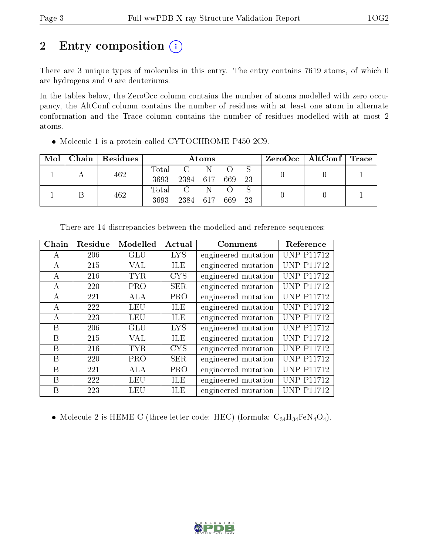## 2 Entry composition (i)

There are 3 unique types of molecules in this entry. The entry contains 7619 atoms, of which 0 are hydrogens and 0 are deuteriums.

In the tables below, the ZeroOcc column contains the number of atoms modelled with zero occupancy, the AltConf column contains the number of residues with at least one atom in alternate conformation and the Trace column contains the number of residues modelled with at most 2 atoms.

| Mol |  | Chain   Residues | Atoms    |              |     |        |  |  | $ZeroOcc \   \ AltConf \   \ Trace$ |  |
|-----|--|------------------|----------|--------------|-----|--------|--|--|-------------------------------------|--|
|     |  | 462              | Total    | $\mathbf{C}$ | -N  |        |  |  |                                     |  |
|     |  |                  | 3693     | 2384 617     |     | 669 23 |  |  |                                     |  |
|     |  | 462              | Total    |              |     |        |  |  |                                     |  |
|     |  | 3693             | 2384 617 |              | 669 | 23     |  |  |                                     |  |

Molecule 1 is a protein called CYTOCHROME P450 2C9.

| Chain          | Residue    | Modelled   | Actual     | Comment             | Reference         |
|----------------|------------|------------|------------|---------------------|-------------------|
| А              | 206        | GLU        | <b>LYS</b> | engineered mutation | <b>UNP P11712</b> |
| A              | 215        | <b>VAL</b> | <b>ILE</b> | engineered mutation | <b>UNP P11712</b> |
| А              | 216        | <b>TYR</b> | <b>CYS</b> | engineered mutation | <b>UNP P11712</b> |
| $\bf{A}$       | 220        | <b>PRO</b> | <b>SER</b> | engineered mutation | <b>UNP P11712</b> |
| А              | 221        | <b>ALA</b> | PRO        | engineered mutation | <b>UNP P11712</b> |
| А              | 222        | <b>LEU</b> | <b>ILE</b> | engineered mutation | <b>UNP P11712</b> |
| $\overline{A}$ | 223        | <b>LEU</b> | ILE        | engineered mutation | <b>UNP P11712</b> |
| B              | 206        | <b>GLU</b> | <b>LYS</b> | engineered mutation | <b>UNP P11712</b> |
| B              | 215        | <b>VAL</b> | ILE        | engineered mutation | <b>UNP P11712</b> |
| B              | 216        | <b>TYR</b> | <b>CYS</b> | engineered mutation | <b>UNP P11712</b> |
| B              | <b>220</b> | <b>PRO</b> | <b>SER</b> | engineered mutation | <b>UNP P11712</b> |
| В              | 221        | <b>ALA</b> | <b>PRO</b> | engineered mutation | <b>UNP P11712</b> |
| B              | 222        | <b>LEU</b> | <b>ILE</b> | engineered mutation | <b>UNP P11712</b> |
| В              | 223        | <b>LEU</b> | ILE        | engineered mutation | <b>UNP P11712</b> |

There are 14 discrepancies between the modelled and reference sequences:

• Molecule 2 is HEME C (three-letter code: HEC) (formula:  $C_{34}H_{34}FeN_4O_4$ ).

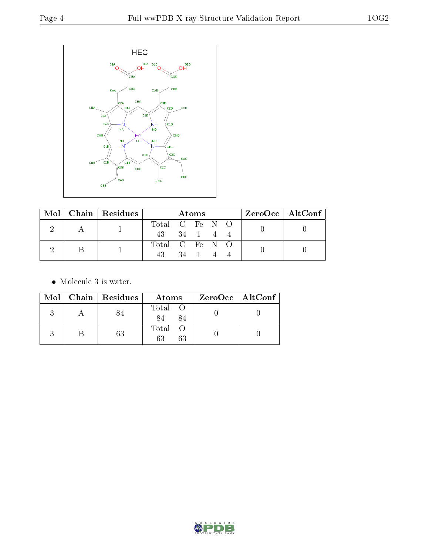

|  |  | $Mol$   Chain   Residues | <b>Atoms</b>   |  |                |  |  | $ZeroOcc \mid AltConf \mid$ |  |  |  |
|--|--|--------------------------|----------------|--|----------------|--|--|-----------------------------|--|--|--|
|  |  |                          | Total C Fe N O |  |                |  |  |                             |  |  |  |
|  |  |                          | 43 34 1 4      |  |                |  |  |                             |  |  |  |
|  |  |                          |                |  | Total C Fe N O |  |  |                             |  |  |  |
|  |  |                          |                |  | 34 1           |  |  |                             |  |  |  |

 $\bullet\,$  Molecule 3 is water.

|  | Mol   Chain   Residues | Atoms               | ZeroOcc   AltConf |
|--|------------------------|---------------------|-------------------|
|  |                        | Total O<br>84       |                   |
|  | 63                     | Total O<br>63<br>63 |                   |

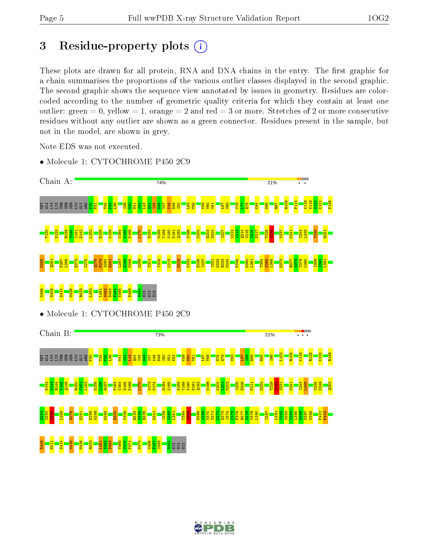D408 H411 D414 N418 M426 R433 L461 V462 D463 T469 T470 P471 N474  $5486$ F487 I488 H491 HIS HIS HIS W120 K121 F126

V248 H251

I389  $\frac{80}{2}$ L391

> N133 R139

V248 K249  $252$ 

> F401 P402

## 3 Residue-property plots  $(i)$

These plots are drawn for all protein, RNA and DNA chains in the entry. The first graphic for a chain summarises the proportions of the various outlier classes displayed in the second graphic. The second graphic shows the sequence view annotated by issues in geometry. Residues are colorcoded according to the number of geometric quality criteria for which they contain at least one outlier: green  $= 0$ , yellow  $= 1$ , orange  $= 2$  and red  $= 3$  or more. Stretches of 2 or more consecutive residues without any outlier are shown as a green connector. Residues present in the sample, but not in the model, are shown in grey.

Note EDS was not executed.

- Chain A: 74% 21% R108 F114 K118 K119 e de e e e e e e e e T34  $\frac{44}{4}$  $54$ K84  $\frac{8}{2}$  $\frac{1}{2}$  $\frac{1}{2}$  $\frac{36}{2}$ I39  $\frac{2}{3}$ N41  $\frac{12}{2}$ L43 I45  $\frac{96}{16}$ I47 K48 D49 I50 T55 K59  $\overline{\mathbf{S}}$ Y61 L67 Y68 V76  $\mathbb{E}$ H78 D89 R97 T130 N133 R139 S140 E142 L152 E155 K158 C164 D165 P166 L170 H184 D188 Y189 K190 Q192 N196 K200 E203 N204 I207 W212 I213  $2214$ V215 Y216 N217 T229  $\frac{80}{2}$ V237 I244 L245 I141 D191 K241 M255  $\frac{261}{2}$ F267 L268 E272 K275 Q278 P279 S280 E281 L287  $\frac{88}{2}$ N289 G298 T301 Y308 L313 E318 K322 E326 I327 I331 G332 R333 N334 P346 D360 L361 T364 S365  $\frac{1366}{1}$ D373 R377 N378 Y379  $\frac{80}{2}$ N398 D408 D414 M426 R433 L453 V462 D463 P464 K465 D468 L461 H491 HIS HIS HIS • Molecule 1: CYTOCHROME P450 2C9 Chain B: 73% 21% L102 R108 K118 R125 e ásségggsa ARG  $\frac{8}{2}$  $\frac{134}{2}$  $\frac{5}{25}$  $\frac{8}{2}$  $\frac{141}{141}$  $\frac{12}{1}$  $\frac{2}{3}$  $\frac{1}{4}$ I45  $\frac{96}{10}$ I47 K48 D49 I50  $51$  $\frac{8}{2}$  $\frac{8}{3}$  $\frac{1}{2}$ Y61 L67  $\frac{8}{2}$  $\frac{8}{11}$  $5^{\circ}$  $\frac{3}{8}$  $\overline{181}$  $\frac{8}{18}$  $\frac{8}{8}$  $\frac{3}{2}$ I99 E142 D143 R144 V145 Q146 R150  $\frac{151}{2}$ L152 E155 L156 R157 P163 C164 D165 P166 L170 A173 P174 H184 K185 D188 Y189 K190 D191  $\frac{192}{2}$ N196 K200  $\frac{1}{2}$ N202 I205 E206 P211 D224 T229 H230 N231 K241 I244 L245 S254 N334 T364 I374 V394  $\frac{25}{2}$  $\frac{1}{25}$ L268 H276  $\frac{61}{281}$ E288 N289 D293 ន $\frac{8}{9}$ Y308 R333 R335 D341 I359 D360 L361  $\frac{365}{25}$ H368 A369 V370 T371  $\frac{2}{3}$ D373  $\frac{1}{2}$ F376 R377 N378 Y379  $\frac{80}{2}$ I387 L391 T392 S393 L395  $\frac{96}{2}$ D397 N398
- Molecule 1: CYTOCHROME P450 2C9

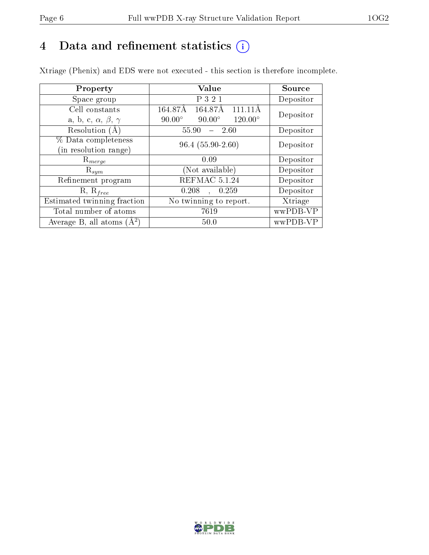## 4 Data and refinement statistics  $(i)$

Xtriage (Phenix) and EDS were not executed - this section is therefore incomplete.

| Property                               | <b>Value</b>                                       | Source    |  |
|----------------------------------------|----------------------------------------------------|-----------|--|
| Space group                            | P 3 2 1                                            | Depositor |  |
| Cell constants                         | 164.87Å<br>164.87Å<br>111 11 Å                     | Depositor |  |
| a, b, c, $\alpha$ , $\beta$ , $\gamma$ | $90.00^\circ$<br>$90.00^\circ$<br>$120.00^{\circ}$ |           |  |
| Resolution $(A)$                       | 55.90<br>- 2.60                                    | Depositor |  |
| % Data completeness                    | $96.4(55.90-2.60)$                                 | Depositor |  |
| (in resolution range)                  |                                                    |           |  |
| $\mathrm{R}_{merge}$                   | 0.09                                               | Depositor |  |
| $\mathrm{R}_{sym}$                     | (Not available)                                    | Depositor |  |
| Refinement program                     | REFMAC 5.1.24                                      | Depositor |  |
| $R, R_{free}$                          | 0.208<br>, 0.259                                   | Depositor |  |
| Estimated twinning fraction            | No twinning to report.                             | Xtriage   |  |
| Total number of atoms                  | 7619                                               | wwPDB-VP  |  |
| Average B, all atoms $(A^2)$           | 50.0                                               | wwPDB-VP  |  |

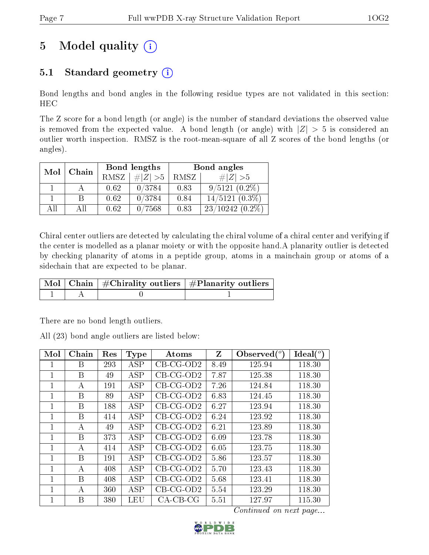## 5 Model quality  $(i)$

## 5.1 Standard geometry  $(i)$

Bond lengths and bond angles in the following residue types are not validated in this section: HEC

The Z score for a bond length (or angle) is the number of standard deviations the observed value is removed from the expected value. A bond length (or angle) with  $|Z| > 5$  is considered an outlier worth inspection. RMSZ is the root-mean-square of all Z scores of the bond lengths (or angles).

| Mol | Chain |             | Bond lengths | Bond angles |                      |  |
|-----|-------|-------------|--------------|-------------|----------------------|--|
|     |       | <b>RMSZ</b> | $\# Z  > 5$  | RMSZ        | $\# Z  > 5$          |  |
|     |       | 0.62        | 0/3784       | 0.83        | $9/5121(0.2\%)$      |  |
|     |       | 0.62        | 0/3784       | 0.84        | $14/5121(0.3\%)$     |  |
| All | All   | 0.62        | 0/7568       | 0.83        | $23/10242$ $(0.2\%)$ |  |

Chiral center outliers are detected by calculating the chiral volume of a chiral center and verifying if the center is modelled as a planar moiety or with the opposite hand.A planarity outlier is detected by checking planarity of atoms in a peptide group, atoms in a mainchain group or atoms of a sidechain that are expected to be planar.

|  | $\mid$ Mol $\mid$ Chain $\mid$ #Chirality outliers $\mid$ #Planarity outliers $\mid$ |
|--|--------------------------------------------------------------------------------------|
|  |                                                                                      |

There are no bond length outliers.

All (23) bond angle outliers are listed below:

| Mol          | Chain | Res | <b>Type</b> | Atoms       | Z    | Observed $\binom{o}{c}$ | Ideal $(^\circ)$ |
|--------------|-------|-----|-------------|-------------|------|-------------------------|------------------|
|              | B     | 293 | ASP         | $CB-CG-OD2$ | 8.49 | 125.94                  | 118.30           |
| 1            | B     | 49  | <b>ASP</b>  | $CB-CG-OD2$ | 7.87 | 125.38                  | 118.30           |
| 1            | А     | 191 | <b>ASP</b>  | $CB-CG-OD2$ | 7.26 | 124.84                  | 118.30           |
| 1            | B     | 89  | <b>ASP</b>  | $CB-CG-OD2$ | 6.83 | 124.45                  | 118.30           |
| $\mathbf{1}$ | B     | 188 | ASP         | $CB-CG-OD2$ | 6.27 | 123.94                  | 118.30           |
| $\mathbf{1}$ | B     | 414 | <b>ASP</b>  | $CB-CG-OD2$ | 6.24 | 123.92                  | 118.30           |
| $\mathbf{1}$ | A     | 49  | <b>ASP</b>  | $CB-CG-OD2$ | 6.21 | 123.89                  | 118.30           |
| $\mathbf{1}$ | B     | 373 | <b>ASP</b>  | $CB-CG-OD2$ | 6.09 | 123.78                  | 118.30           |
| 1            | А     | 414 | <b>ASP</b>  | $CB-CG-OD2$ | 6.05 | 123.75                  | 118.30           |
| 1            | B     | 191 | ASP         | $CB-CG-OD2$ | 5.86 | 123.57                  | 118.30           |
| 1            | А     | 408 | ASP         | $CB-CG-OD2$ | 5.70 | 123.43                  | 118.30           |
| 1            | B     | 408 | <b>ASP</b>  | $CB-CG-OD2$ | 5.68 | 123.41                  | 118.30           |
| $\mathbf{1}$ | А     | 360 | ASP         | $CB-CG-OD2$ | 5.54 | 123.29                  | 118.30           |
| 1            | В     | 380 | LEU         | $CA-CB-CG$  | 5.51 | 127.97                  | 115.30           |

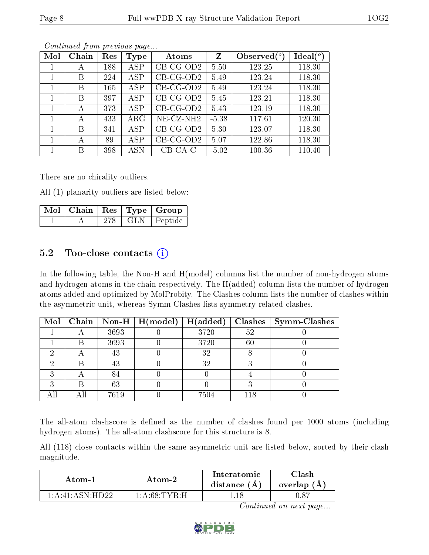| Mol | Chain | Res | Type       | Atoms        | Z       | Observed $\binom{o}{c}$ | Ideal $(°)$ |
|-----|-------|-----|------------|--------------|---------|-------------------------|-------------|
|     | А     | 188 | ASP        | $CB-CG-OD2$  | 5.50    | 123.25                  | 118.30      |
|     | Β     | 224 | ASP        | $CB-CG-OD2$  | 5.49    | 123.24                  | 118.30      |
|     | Β     | 165 | ASP        | $CB-CG-OD2$  | 5.49    | 123.24                  | 118.30      |
| 1   | В     | 397 | ASP        | $CB-CG-OD2$  | 5.45    | 123.21                  | 118.30      |
|     | А     | 373 | <b>ASP</b> | $CB-CG-OD2$  | 5.43    | 123.19                  | 118.30      |
|     | А     | 433 | $\rm{ARG}$ | $NE- CZ-NH2$ | $-5.38$ | 117.61                  | 120.30      |
|     | В     | 341 | <b>ASP</b> | $CB-CG-OD2$  | 5.30    | 123.07                  | 118.30      |
|     | А     | 89  | <b>ASP</b> | $CB-CG-OD2$  | 5.07    | 122.86                  | 118.30      |
|     | В     | 398 | ASN        | $CB-CA-C$    | $-5.02$ | 100.36                  | 110.40      |

There are no chirality outliers.

All (1) planarity outliers are listed below:

|  |     | $\lceil\,\overline{\text{Mol}}\,\rceil$ Chain $\mid\text{Res}\mid\text{Type}\mid\text{Group}$ |
|--|-----|-----------------------------------------------------------------------------------------------|
|  | 278 | GLN   Peptide                                                                                 |

#### 5.2 Too-close contacts  $(i)$

In the following table, the Non-H and H(model) columns list the number of non-hydrogen atoms and hydrogen atoms in the chain respectively. The H(added) column lists the number of hydrogen atoms added and optimized by MolProbity. The Clashes column lists the number of clashes within the asymmetric unit, whereas Symm-Clashes lists symmetry related clashes.

|  |      | Mol   Chain   Non-H   H(model)   H(added) |      |        | $Clashes$   Symm-Clashes |
|--|------|-------------------------------------------|------|--------|--------------------------|
|  | 3693 |                                           | 3720 | 52     |                          |
|  | 3693 |                                           | 3720 | $60\,$ |                          |
|  | 43   |                                           | 32   |        |                          |
|  | 43   |                                           | 32   |        |                          |
|  |      |                                           |      |        |                          |
|  | 63   |                                           |      |        |                          |
|  | 7619 |                                           | 7504 | 118    |                          |

The all-atom clashscore is defined as the number of clashes found per 1000 atoms (including hydrogen atoms). The all-atom clashscore for this structure is 8.

All (118) close contacts within the same asymmetric unit are listed below, sorted by their clash magnitude.

| Atom-2              |               | Interatomic    | 7lash         |
|---------------------|---------------|----------------|---------------|
| Atom-1              |               | distance $(A)$ | overlap $(A,$ |
| $1:$ A:41: ASN HD22 | -1:A:68:TYR:H |                | 70. R         |

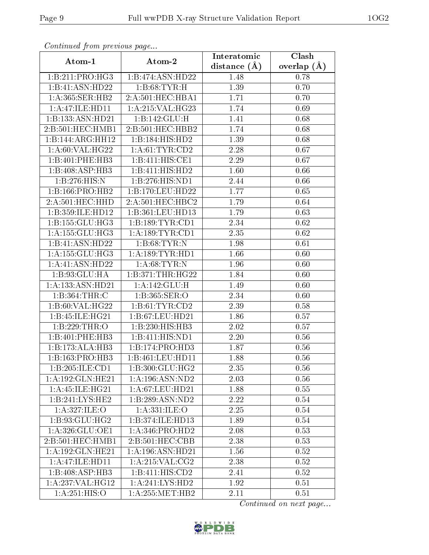| Continuou jiom protivus pugo |                     | Interatomic    | Clash         |
|------------------------------|---------------------|----------------|---------------|
| Atom-1                       | Atom-2              | distance $(A)$ | overlap $(A)$ |
| 1:B:211:PRO:HG3              | 1:B:474:ASN:HD22    | 1.48           | 0.78          |
| $1:B:41:A\overline{SN:HD22}$ | 1: B:68: TYR:H      | 1.39           | 0.70          |
| 1: A: 365: SER: HB2          | 2:A:501:HEC:HBA1    | 1.71           | 0.70          |
| 1: A:47: ILE: HDI1           | 1: A:215: VAL:HG23  | 1.74           | 0.69          |
| 1:B:133:ASN:HD21             | 1:B:142:GLU:H       | 1.41           | 0.68          |
| 2:B:501:HEC:HMB1             | 2:B:501:HEC:HBB2    | 1.74           | 0.68          |
| 1:B:144:ARG:HH12             | 1:B:184:HIS:HD2     | 1.39           | 0.68          |
| 1: A:60: VAL:HG22            | 1: A:61:TYR:CD2     | 2.28           | 0.67          |
| 1:B:401:PHE:HB3              | 1:B:411:HIS:CE1     | 2.29           | 0.67          |
| 1:B:408:ASP:HB3              | 1:B:411:HIS:HD2     | 1.60           | 0.66          |
| 1:B:276:HIS:N                | 1:B:276:HIS:ND1     | 2.44           | 0.66          |
| 1:B:166:PRO:HB2              | 1:B:170:LEU:HD22    | 1.77           | 0.65          |
| 2:A:501:HEC:HHD              | 2:A:501:HEC:HBC2    | 1.79           | 0.64          |
| 1:B:359:ILE:HD12             | 1:B:361:LEU:HD13    | 1.79           | 0.63          |
| 1:B:155:GLU:HG3              | 1:B:189:TYR:CD1     | 2.34           | 0.62          |
| 1:A:155:GLU:HG3              | $1:$ A:189:TYR:CD1  | 2.35           | 0.62          |
| 1:B:41:ASN:HD22              | 1: B:68:TYR:N       | 1.98           | 0.61          |
| 1: A: 155: GLU: HG3          | 1: A: 189: TYR: HD1 | 1.66           | 0.60          |
| 1:A:41:ASN:HD22              | 1: A:68:TYR:N       | 1.96           | 0.60          |
| 1: B:93: GLU: HA             | 1: B:371:THR:HG22   | 1.84           | 0.60          |
| 1:A:133:ASN:HD21             | 1:A:142:GLU:H       | 1.49           | 0.60          |
| 1: B: 364: THR: C            | 1: B:365: SER:O     | 2.34           | 0.60          |
| 1:B:60:VAL:HG22              | 1: B: 61: TYR: CD2  | 2.39           | 0.58          |
| 1:B:45:ILE:HG21              | 1:B:67:LEU:HD21     | 1.86           | 0.57          |
| 1:B:229:THR:O                | 1:B:230:HIS:HB3     | 2.02           | 0.57          |
| 1:B:401:PHE:HB3              | 1:B:411:HIS:ND1     | 2.20           | 0.56          |
| 1:B:173:ALA:HB3              | 1:B:174:PRO:HD3     | 1.87           | 0.56          |
| 1:B:163:PRO:HB3              | 1:B:461:LEU:HD11    | 1.88           | 0.56          |
| 1:B:205:ILE:CD1              | 1:B:300:GLU:HG2     | 2.35           | 0.56          |
| 1:A:192:GLN:HE21             | 1:A:196:ASN:ND2     | 2.03           | 0.56          |
| 1:A:45:ILE:HG21              | 1: A:67:LEU:HD21    | 1.88           | 0.55          |
| 1:B:241:LYS:HE2              | 1:B:289:ASN:ND2     | 2.22           | 0.54          |
| 1: A:327: ILE: O             | 1: A: 331: ILE: O   | 2.25           | 0.54          |
| 1:B:93:GLU:HG2               | 1:B:374:ILE:HD13    | 1.89           | $0.54\,$      |
| 1: A:326: GLU: OE1           | 1: A:346: PRO:HD2   | 2.08           | 0.53          |
| 2:B:501:HEC:HMB1             | 2:B:501:HEC:CBB     | 2.38           | 0.53          |
| 1:A:192:GLN:HE21             | 1:A:196:ASN:HD21    | 1.56           | 0.52          |
| 1:A:47:ILE:HD11              | 1: A:215: VAL: CG2  | 2.38           | 0.52          |
| 1:B:408:ASP:HB3              | 1:B:411:HIS:CD2     | 2.41           | 0.52          |
| 1: A:237: VAL:HG12           | 1: A:241: LYS: HD2  | 1.92           | 0.51          |
| 1: A:251: HIS:O              | 1: A:255: MET:HB2   | 2.11           | 0.51          |

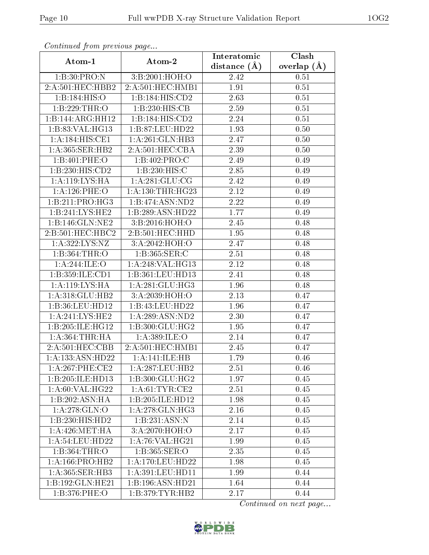| continuou pront protio de pago |                                      | Interatomic    | Clash         |
|--------------------------------|--------------------------------------|----------------|---------------|
| Atom-1                         | Atom-2                               | distance $(A)$ | overlap $(A)$ |
| 1:B:30:PRO:N                   | 3:B:2001:HOH:O                       | 2.42           | 0.51          |
| 2:A:501:HEC:HBB2               | 2:A:501:HEC:HMB1                     | 1.91           | 0.51          |
| 1:B:184:HIS:O                  | 1:B:184:HIS:CD2                      | 2.63           | 0.51          |
| 1:B:229:THR:O                  | 1:B:230:HIS:CB                       | 2.59           | 0.51          |
| 1:B:144:ARG:HH12               | 1:B:184:HIS:CD2                      | 2.24           | 0.51          |
| 1:B:83:VAL:HG13                | 1:B:87:LEU:HD22                      | 1.93           | 0.50          |
| 1:A:184:HIS:CE1                | 1:A:261:GLN:HB3                      | 2.47           | 0.50          |
| 1:A:365:SER:HB2                | 2:A:501:HEC:CBA                      | 2.39           | 0.50          |
| 1:B:401:PHE:O                  | 1:B:402:PRO:C                        | 2.49           | 0.49          |
| 1:B:230:HIS:CD2                | 1:B:230:HIS:C                        | 2.85           | 0.49          |
| 1:A:119:LYS:HA                 | 1: A:281: GLU:CG                     | 2.42           | 0.49          |
| 1: A:126: PHE:O                | 1: A: 130: THR: HG23                 | 2.12           | 0.49          |
| 1:B:211:PRO:HG3                | 1:B:474:ASN:ND2                      | 2.22           | 0.49          |
| 1:B:241:LYS:HE2                | 1:B:289:ASN:HD22                     | 1.77           | 0.49          |
| 1:B:146:GLN:NE2                | 3:B:2016:HOH:O                       | 2.45           | 0.48          |
| 2:B:501:HEC:HBC2               | 2:B:501:HEC:HHD                      | 1.95           | 0.48          |
| 1:A:322:LYS:NZ                 | 3:A:2042:HOH:O                       | 2.47           | 0.48          |
| 1:B:364:THR:O                  | 1:B:365:SER:C                        | 2.51           | 0.48          |
| 1: A:244: ILE:O                | $1:A:248:\overline{\text{VAL}:HG13}$ | 2.12           | 0.48          |
| 1:B:359:ILE:CD1                | 1:B:361:LEU:HD13                     | 2.41           | 0.48          |
| 1:A:119:LYS:HA                 | 1: A:281: GLU:HG3                    | 1.96           | 0.48          |
| 1: A:318: GLU: HB2             | 3:A:2039:HOH:O                       | 2.13           | 0.47          |
| 1:B:36:LEU:HD12                | 1:B:43:LEU:HD22                      | 1.96           | 0.47          |
| 1: A:241:LYS:HE2               | 1:A:289:ASN:ND2                      | 2.30           | 0.47          |
| 1:B:205:ILE:HG12               | 1: B:300: GLU: HG2                   | 1.95           | 0.47          |
| 1: A:364:THR:HA                | 1:A:389:ILE:O                        | 2.14           | 0.47          |
| 2:A:501:HEC:CBB                | 2:A:501:HEC:HMB1                     | 2.45           | 0.47          |
| 1:A:133:ASN:HD22               | 1: A:141: ILE: HB                    | 1.79           | 0.46          |
| 1:A:267:PHE:CE2                | 1:A:287:LEU:HB2                      | 2.51           | 0.46          |
| 1:B:205:ILE:HD13               | $1: B:300: GLU: H\overline{G2}$      | 1.97           | 0.45          |
| 1: A:60: VAL:HG22              | 1: A:61:TYR:CE2                      | 2.51           | 0.45          |
| 1:B:202:ASN:HA                 | 1:B:205:ILE:HD12                     | 1.98           | 0.45          |
| 1:A:278:GLN:O                  | 1: A:278: GLN: HG3                   | 2.16           | 0.45          |
| 1:B:230:HIS:HD2                | 1:B:231:ASN:N                        | 2.14           | 0.45          |
| 1: A:426: MET:HA               | 3:A:2070:HOH:O                       | 2.17           | 0.45          |
| 1: A:54:LEU:HD22               | 1: A:76: VAL:HG21                    | 1.99           | 0.45          |
| 1:B:364:THR:O                  | 1:B:365:SER:O                        | 2.35           | 0.45          |
| 1: A: 166: PRO: HB2            | 1: A:170: LEU: HD22                  | 1.98           | 0.45          |
| 1:A:365:SER:HB3                | 1:A:391:LEU:HD11                     | 1.99           | 0.44          |
| 1:B:192:GLN:HE21               | 1:B:196:ASN:HD21                     | 1.64           | 0.44          |
| 1:B:376:PHE:O                  | 1:B:379:TYR:HB2                      | 2.17           | 0.44          |

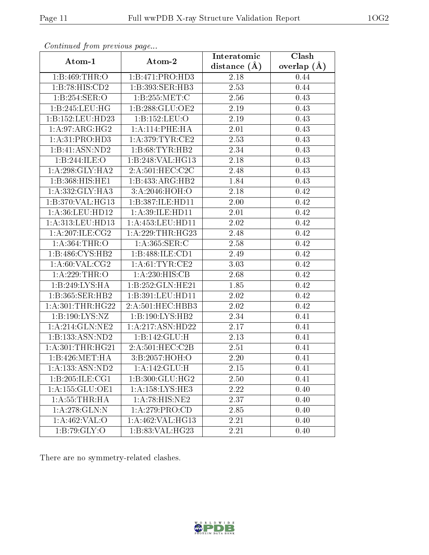|                      |                               | Interatomic    | Clash         |
|----------------------|-------------------------------|----------------|---------------|
| Atom-1               | Atom-2                        | distance $(A)$ | overlap $(A)$ |
| 1:B:469:THR:O        | 1:B:471:PRO:HD3               | 2.18           | 0.44          |
| 1:B:78:HIS:CD2       | 1:B:393:SER:HB3               | 2.53           | 0.44          |
| 1:B:254:SER:O        | 1:B:255:MET:C                 | 2.56           | 0.43          |
| 1:B:245:LEU:HG       | 1: B: 288: GLU: OE2           | 2.19           | 0.43          |
| 1:B:152:LEU:HD23     | 1:B:152:LEU:O                 | 2.19           | 0.43          |
| 1:A:97:ARG:HG2       | 1:A:114:PHE:HA                | 2.01           | 0.43          |
| 1:A:31:PRO:HD3       | 1: A:379:TYR:CE2              | 2.53           | 0.43          |
| 1:B:41:ASN:ND2       | 1:B:68:TYR:HB2                | 2.34           | 0.43          |
| 1:B:244:ILE:O        | 1:B:248:VAL:HG13              | 2.18           | 0.43          |
| 1: A:298: GLY:HA2    | 2: A:501:HEC:CC2C             | 2.48           | 0.43          |
| 1:B:368:HIS:HE1      | 1:B:433:ARG:HB2               | 1.84           | 0.43          |
| 1: A: 332: GLY: HA3  | 3:A:2046:HOH:O                | 2.18           | 0.42          |
| 1:B:370:VAL:HG13     | 1:B:387:ILE:HD11              | 2.00           | 0.42          |
| 1:A:36:LEU:HD12      | 1:A:39:ILE:HD11               | 2.01           | 0.42          |
| 1: A: 313: LEU: HD13 | 1: A: 453: LEU: HD11          | 2.02           | 0.42          |
| 1:A:207:ILE:CG2      | 1: A:229:THR:HG23             | 2.48           | 0.42          |
| 1: A:364:THR:O       | 1: A: 365: SER: C             | 2.58           | 0.42          |
| 1:B:486:CYS:HB2      | 1:B:488:ILE:CD1               | 2.49           | 0.42          |
| 1: A:60: VAL: CG2    | 1: A:61:TYR:CE2               | 3.03           | 0.42          |
| 1:A:229:THR:O        | 1:A:230:HIS:CB                | 2.68           | 0.42          |
| 1:B:249:LYS:HA       | $1:B:252:GLN:\overline{HE21}$ | 1.85           | 0.42          |
| 1:B:365:SER:HB2      | 1:B:391:LEU:HD11              | 2.02           | 0.42          |
| 1: A:301:THR:HG22    | 2:A:501:HEC:HBB3              | 2.02           | 0.42          |
| 1:B:190:LYS:NZ       | 1:B:190:LYS:HB2               | 2.34           | 0.41          |
| 1: A:214: GLN:NE2    | 1:A:217:ASN:HD22              | 2.17           | 0.41          |
| 1:B:133:ASN:ND2      | 1:B:142:GLU:H                 | 2.13           | 0.41          |
| 1: A:301:THR:HG21    | 2:A:501:HEC:C2B               | 2.51           | 0.41          |
| 1:B:426:MET:HA       | 3:B:2057:HOH:O                | 2.20           | 0.41          |
| 1: A: 133: ASN: ND2  | 1:A:142:GLU:H                 | 2.15           | 0.41          |
| 1:B:205:ILE:CG1      | 1:B:300:GLU:HG2               | 2.50           | 0.41          |
| 1:A:155:GLU:OE1      | 1:A:158:LYS:HE3               | 2.22           | 0.40          |
| 1: A: 55: THR: HA    | 1:A:78:HIS:NE2                | 2.37           | 0.40          |
| $1:$ A:278: $GLN:N$  | 1: A:279: PRO:CD              | 2.85           | 0.40          |
| 1:A:462:VAL:O        | $1:A:462:\overline{VAL:HG13}$ | 2.21           | 0.40          |
| 1:B:79:GLY:O         | 1:B:83:VAL:HG23               | 2.21           | 0.40          |

There are no symmetry-related clashes.

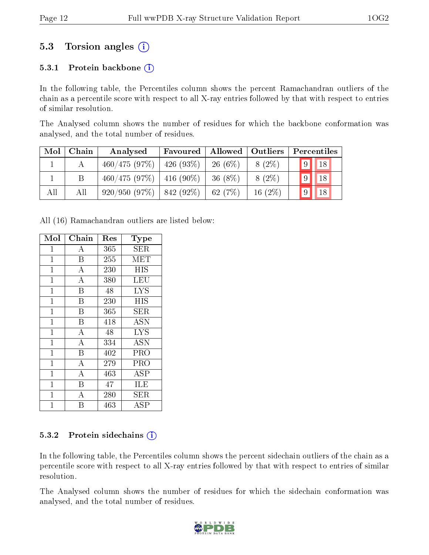### 5.3 Torsion angles (i)

#### 5.3.1 Protein backbone  $(i)$

In the following table, the Percentiles column shows the percent Ramachandran outliers of the chain as a percentile score with respect to all X-ray entries followed by that with respect to entries of similar resolution.

The Analysed column shows the number of residues for which the backbone conformation was analysed, and the total number of residues.

| Mol | Chain | Analysed                      | Favoured     | Allowed   | $\vert$ Outliers | Percentiles |
|-----|-------|-------------------------------|--------------|-----------|------------------|-------------|
|     |       | 460/475(97%)                  | $426(93\%)$  | $26(6\%)$ | $8(2\%)$         | $9 \mid 18$ |
|     |       | $460/475$ (97\%)   416 (90\%) |              | $36(8\%)$ | $8(2\%)$         | $\vert$ 18  |
| All | All   | 920/950(97%)                  | $ 842(92\%)$ | 62(7%)    | 16 $(2\%)$       |             |

All (16) Ramachandran outliers are listed below:

| Mol            | Chain              | $\operatorname{Res}% \left( \mathcal{N}\right) \equiv\operatorname{Res}(\mathcal{N}_{0})\cap\mathcal{N}_{1}$ | Type       |
|----------------|--------------------|--------------------------------------------------------------------------------------------------------------|------------|
| $\mathbf{1}$   | $\bf{A}$           | 365                                                                                                          | SER        |
| $\mathbf 1$    | $\overline{B}$     | 255                                                                                                          | <b>MET</b> |
| $\mathbf 1$    | $\overline{A}$     | 230                                                                                                          | НIS        |
| $\mathbf{1}$   | $\overline{A}$     | 380                                                                                                          | LEU        |
| $\mathbf{1}$   | B                  | 48                                                                                                           | <b>LYS</b> |
| $\mathbf{1}$   | $\overline{B}$     | 230                                                                                                          | HIS        |
| $\mathbf 1$    | B                  | 365                                                                                                          | SER        |
| $\mathbf{1}$   | $\, {\bf B}$       | 418                                                                                                          | ASN        |
| $\mathbf{1}$   | A                  | 48                                                                                                           | <b>LYS</b> |
| $\mathbf{1}$   | $\bf{A}$           | 334                                                                                                          | <b>ASN</b> |
| $\mathbf{1}$   | $\boldsymbol{B}$   | 402                                                                                                          | PRO        |
| $\mathbf{1}$   | $\bf{A}$           | 279                                                                                                          | PRO        |
| $\mathbf{1}$   | $\boldsymbol{A}$   | 463                                                                                                          | ASP        |
| $\mathbf{1}$   | B                  | 47                                                                                                           | <b>ILE</b> |
| $\mathbf{1}$   | $\overline{\rm A}$ | 280                                                                                                          | $\rm{SER}$ |
| $\overline{1}$ | Β                  | 463                                                                                                          | ASP        |

#### 5.3.2 Protein sidechains  $(i)$

In the following table, the Percentiles column shows the percent sidechain outliers of the chain as a percentile score with respect to all X-ray entries followed by that with respect to entries of similar resolution.

The Analysed column shows the number of residues for which the sidechain conformation was analysed, and the total number of residues.

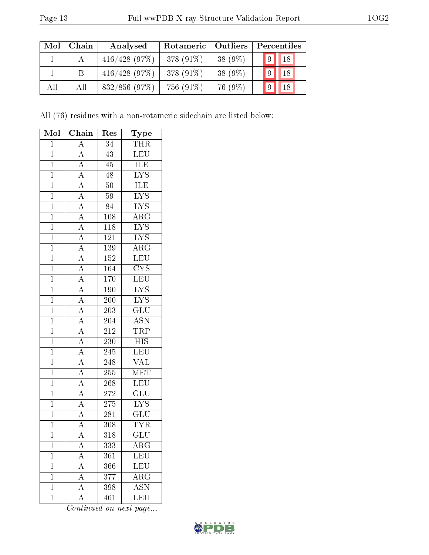| Mol | Chain | Analysed         | Rotameric   | Outliers   | Percentiles |
|-----|-------|------------------|-------------|------------|-------------|
|     |       | $416/428$ (97\%) | 378 (91\%)  | $38(9\%)$  | $9$   18    |
|     |       | $416/428$ (97\%) | $378(91\%)$ | 38 $(9\%)$ | 18          |
| All | All   | $832/856$ (97\%) | 756 (91\%)  | 76 (9%)    | 18<br> 9    |

All (76) residues with a non-rotameric sidechain are listed below:

| Mol            | ${\bf Chain}$                                                           | Res              | $_{\rm Type}$             |
|----------------|-------------------------------------------------------------------------|------------------|---------------------------|
| $\overline{1}$ | $\overline{A}$                                                          | $\overline{34}$  | <b>THR</b>                |
| $\mathbf{1}$   | $\overline{A}$                                                          | $43\,$           | LEU                       |
| $\overline{1}$ | $\overline{A}$                                                          | $\overline{45}$  | ILE                       |
| $\overline{1}$ | $\overline{A}$                                                          | 48               | $\overline{\rm LYS}$      |
| $\overline{1}$ | $\overline{A}$                                                          | $\overline{50}$  | <b>ILE</b>                |
| $\overline{1}$ | $\overline{A}$                                                          | $59\,$           | $\overline{\text{LYS}}$   |
| $\mathbf{1}$   | $\frac{\overline{A}}{\overline{A}}$                                     | 84               | $\overline{\text{LYS}}$   |
| $\overline{1}$ |                                                                         | $\overline{108}$ | $\overline{\rm ARG}$      |
| $\overline{1}$ |                                                                         | 118              | $\overline{\text{LYS}}$   |
| $\overline{1}$ | $\frac{\overline{A}}{\overline{A}}$                                     | $\overline{121}$ | $\overline{\text{LYS}}$   |
| $\overline{1}$ |                                                                         | 139              | $\overline{\rm ARG}$      |
| $\mathbf{1}$   | $\frac{\overline{A}}{\overline{A}}$                                     | 152              | LEU                       |
| $\overline{1}$ |                                                                         | 164              | $\overline{\text{CYS}}$   |
| $\overline{1}$ | $\frac{\overline{A}}{\overline{A}}$ $\frac{\overline{A}}{\overline{A}}$ | $\overline{170}$ | LEU                       |
| $\overline{1}$ |                                                                         | 190              | $\underline{IYS}$         |
| $\overline{1}$ |                                                                         | $\overline{200}$ | $\overline{\text{LYS}}$   |
| $\overline{1}$ |                                                                         | $\overline{203}$ | $\overline{{\rm GLU}}$    |
| $\overline{1}$ | $\overline{A}$                                                          | $\overline{204}$ | $\overline{\text{ASN}}$   |
| $\overline{1}$ | $\overline{A}$                                                          | $\overline{212}$ | TRP                       |
| $\overline{1}$ | $\overline{A}$                                                          | $\overline{230}$ | $\overline{\mathrm{HIS}}$ |
| $\overline{1}$ | $\overline{A}$                                                          | 245              | $\overline{\text{LEU}}$   |
| $\overline{1}$ | $\overline{A}$                                                          | 248              | $\overline{\text{VAL}}$   |
| $\overline{1}$ |                                                                         | 255              | $\overline{\text{MET}}$   |
| $\overline{1}$ | $\frac{\overline{A}}{\overline{A}}$                                     | 268              | LEU                       |
| $\overline{1}$ | $\overline{A}$                                                          | $\overline{272}$ | $\overline{\text{GLU}}$   |
| $\mathbf{1}$   | $\overline{A}$                                                          | 275              | $\overline{\text{LYS}}$   |
| $\overline{1}$ | $\frac{\overline{A}}{\overline{A}}$                                     | 281              | $\overline{\text{GLU}}$   |
| $\bf{1}$       |                                                                         | 308              | <b>TYR</b>                |
| $\overline{1}$ | $\overline{\rm A}$                                                      | 318              | $\overline{\text{GLU}}$   |
| $\mathbf 1$    | A                                                                       | 333              | ${\rm ARG}$               |
| $\mathbf 1$    | A                                                                       | 361              | <b>LEU</b>                |
| $\mathbf 1$    | $\overline{A}$                                                          | 366              | <b>LEU</b>                |
| $\mathbf 1$    | $\overline{\rm A}$                                                      | 377              | $\rm{ARG}$                |
| $\mathbf{1}$   | $\overline{A}$                                                          | 398              | $\overline{\mathrm{ASN}}$ |
| $\mathbf 1$    | $\overline{\rm A}$                                                      | 461              | $\overline{\text{LEU}}$   |

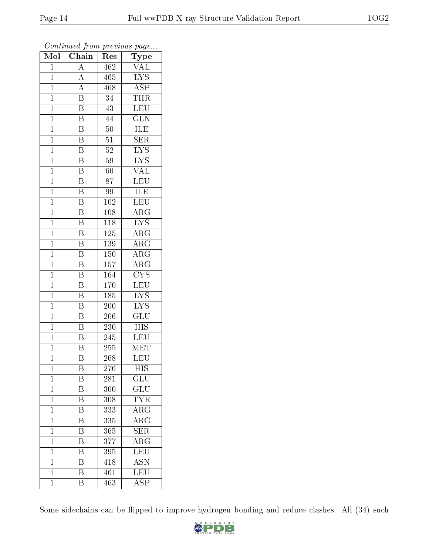| Mol            | $\overline{\text{C}}$ hain | $\operatorname{Res}% \left( \mathcal{N}\right) \equiv\operatorname{Res}(\mathcal{N}_{0})\left( \mathcal{N}_{0}\right) ^{2}$ | Type                      |
|----------------|----------------------------|-----------------------------------------------------------------------------------------------------------------------------|---------------------------|
| $\overline{1}$ | $\overline{\rm A}$         | 462                                                                                                                         | $\overline{\text{VAL}}$   |
| $\mathbf{1}$   | $\overline{A}$             | 465                                                                                                                         | $\overline{\text{LYS}}$   |
| $\mathbf{1}$   | $\overline{A}$             | 468                                                                                                                         | $\overline{\text{ASP}}$   |
| $\mathbf 1$    | Β                          | 34                                                                                                                          | <b>THR</b>                |
| $\mathbf{1}$   | $\overline{\mathrm{B}}$    | $\overline{43}$                                                                                                             | <b>LEU</b>                |
| $\mathbf{1}$   | B                          | 44                                                                                                                          | <b>GLN</b>                |
| $\overline{1}$ | $\overline{\mathrm{B}}$    | $50\,$                                                                                                                      | ILE                       |
| $\mathbf{1}$   | $\overline{\mathrm{B}}$    | $\overline{51}$                                                                                                             | $\overline{\text{SER}}$   |
| $\mathbf{1}$   | $\overline{\mathrm{B}}$    | $52\,$                                                                                                                      | <b>LYS</b>                |
| $\mathbf{1}$   | $\overline{\mathrm{B}}$    | 59                                                                                                                          | $\overline{\text{LYS}}$   |
| $\overline{1}$ | B                          | 60                                                                                                                          | VAL                       |
| $\overline{1}$ | $\overline{\mathrm{B}}$    | 87                                                                                                                          | $\overline{\text{LEU}}$   |
| $\overline{1}$ | $\overline{\mathrm{B}}$    | 99                                                                                                                          | ILE                       |
| $\mathbf{1}$   | $\overline{\mathrm{B}}$    | 102                                                                                                                         | <b>LEU</b>                |
| $\mathbf 1$    | $\overline{\mathrm{B}}$    | 108                                                                                                                         | $\overline{\rm ARG}$      |
| $\overline{1}$ | $\overline{\mathrm{B}}$    | 118                                                                                                                         | <b>LYS</b>                |
| $\overline{1}$ | $\overline{\mathrm{B}}$    | 125                                                                                                                         | $\overline{\rm{ARG}}$     |
| $\mathbf{1}$   | $\overline{\text{B}}$      | 139                                                                                                                         | ARG                       |
| $\mathbf{1}$   | $\overline{\mathbf{B}}$    | 150                                                                                                                         | $\rm{ARG}$                |
| $\mathbf{1}$   | $\overline{\mathrm{B}}$    | 157                                                                                                                         | $\overline{\text{ARG}}$   |
| $\mathbf{1}$   | $\overline{\mathrm{B}}$    | <sup>164</sup>                                                                                                              | $\overline{\text{CYS}}$   |
| $\overline{1}$ | $\overline{\mathrm{B}}$    | 170                                                                                                                         | LEU                       |
| $\mathbf{1}$   | Β                          | 185                                                                                                                         | ${\rm LYS}$               |
| $\mathbf 1$    | $\overline{\mathrm{B}}$    | 200                                                                                                                         | $\overline{\rm LYS}$      |
| $\mathbf{1}$   | $\overline{\mathrm{B}}$    | 206                                                                                                                         | GLU                       |
| $\overline{1}$ | $\overline{\mathrm{B}}$    | 230                                                                                                                         | <b>HIS</b>                |
| $\mathbf{1}$   | $\overline{\mathrm{B}}$    | 245                                                                                                                         | LEU                       |
| $\mathbf 1$    | $\overline{\mathrm{B}}$    | 255                                                                                                                         | MET                       |
| $\mathbf 1$    | Β                          | 268                                                                                                                         | LEU                       |
| $\mathbf 1$    | B                          | 276                                                                                                                         | $\overline{\mathrm{HIS}}$ |
| $\overline{1}$ | Β                          | 281                                                                                                                         | GLU                       |
| $\overline{1}$ | $\overline{\mathrm{B}}$    | 300                                                                                                                         | GLU                       |
| $\mathbf{1}$   | $\overline{\mathrm{B}}$    | 308                                                                                                                         | <b>TYR</b>                |
| $\mathbf 1$    | $\overline{\mathrm{B}}$    | 333                                                                                                                         | $\overline{\rm{ARG}}$     |
| $\mathbf{1}$   | $\overline{\rm B}$         | 335                                                                                                                         | $\rm{ARG}$                |
| $\mathbf 1$    | $\overline{\mathrm{B}}$    | 365                                                                                                                         | $\overline{\text{SER}}$   |
| $\mathbf 1$    | $\overline{\mathrm{B}}$    | 377                                                                                                                         | ARG                       |
| $\mathbf 1$    | $\overline{\mathbf{B}}$    | 395                                                                                                                         | LEU                       |
| $\mathbf{1}$   | $\overline{\mathrm{B}}$    | 418                                                                                                                         | $\overline{\mathrm{ASN}}$ |
| $\mathbf 1$    | B                          | 461                                                                                                                         | LEU                       |
| $\overline{1}$ | $\overline{\mathrm{B}}$    | 463                                                                                                                         | $\overline{\text{ASP}}$   |

Some sidechains can be flipped to improve hydrogen bonding and reduce clashes. All (34) such

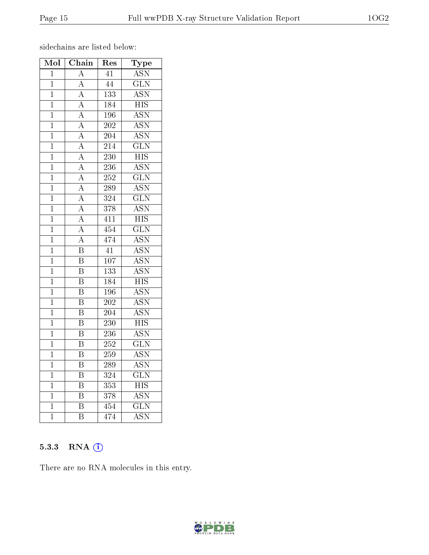sidechains are listed below:

| Mol            | $\overline{\text{Chain}}$ | Res               | Type                      |
|----------------|---------------------------|-------------------|---------------------------|
| $\overline{1}$ | $\overline{\rm A}$        | $\overline{41}$   | $\overline{ASN}$          |
| $\mathbf{1}$   | $\overline{\rm A}$        | $\overline{44}$   | $\overline{\text{GLN}}$   |
| $\overline{1}$ | $\overline{\rm A}$        | $\overline{133}$  | <b>ASN</b>                |
| $\overline{1}$ | $\overline{A}$            | 184               | <b>HIS</b>                |
| $\mathbf{1}$   | $\overline{A}$            | 196               | <b>ASN</b>                |
| $\overline{1}$ | $\overline{A}$            | $\overline{202}$  | <b>ASN</b>                |
| $\mathbf{1}$   | $\overline{A}$            | 204               | $\overline{\mathrm{ASN}}$ |
| $\overline{1}$ | $\overline{\rm A}$        | $\overline{214}$  | $\overline{\text{GLN}}$   |
| $\mathbf 1$    | $\overline{\rm A}$        | $\overline{23}0$  | <b>HIS</b>                |
| $\mathbf{1}$   | $\overline{A}$            | $\overline{236}$  | $\overline{\text{ASN}}$   |
| $\overline{1}$ | $\overline{A}$            | $\overline{252}$  | $\overline{\text{GLN}}$   |
| $\mathbf{1}$   | $\overline{A}$            | 289               | <b>ASN</b>                |
| $\overline{1}$ | $\overline{A}$            | $\overline{324}$  | $\overline{\text{GLN}}$   |
| $\overline{1}$ | $\overline{A}$            | 378               | $\overline{\mathrm{ASN}}$ |
| $\mathbf{1}$   | $\overline{A}$            | $4\overline{11}$  | $\overline{\mathrm{HIS}}$ |
| $\overline{1}$ | $\overline{\rm A}$        | 454               | $\overline{\text{GLN}}$   |
| $\mathbf{1}$   | $\overline{\rm A}$        | $\overline{474}$  | $\overline{\mathrm{ASN}}$ |
| $\mathbf{1}$   | $\overline{\mathrm{B}}$   | $\overline{41}$   | $\overline{\text{ASN}}$   |
| $\mathbf{1}$   | $\overline{\mathrm{B}}$   | $\overline{107}$  | <b>ASN</b>                |
| $\overline{1}$ | $\overline{\mathrm{B}}$   | $\overline{133}$  | $\overline{\mathrm{ASN}}$ |
| $\mathbf 1$    | $\overline{\mathrm{B}}$   | 184               | <b>HIS</b>                |
| $\overline{1}$ | $\overline{\mathrm{B}}$   | 196               | $\overline{\mathrm{ASN}}$ |
| $\mathbf{1}$   | $\overline{\mathrm{B}}$   | $\overline{202}$  | <b>ASN</b>                |
| $\overline{1}$ | $\overline{\mathrm{B}}$   | $\overline{204}$  | $\overline{\text{ASN}}$   |
| $\overline{1}$ | $\overline{\mathrm{B}}$   | 230               | $\overline{\mathrm{HIS}}$ |
| $\mathbf 1$    | $\overline{\mathrm{B}}$   | $\overline{236}$  | <b>ASN</b>                |
| $\overline{1}$ | $\overline{\mathrm{B}}$   | $\overline{252}$  | $\overline{\text{GLN}}$   |
| $\overline{1}$ | $\overline{\mathrm{B}}$   | 259               | $\overline{\text{ASN}}$   |
| $\mathbf 1$    | $\overline{\mathrm{B}}$   | 289               | $\overline{\mathrm{ASN}}$ |
| $\overline{1}$ | $\overline{\mathrm{B}}$   | 324               | $\overline{\text{GLN}}$   |
| $\mathbf{1}$   | $\overline{\mathrm{B}}$   | 353               | $\overline{HIS}$          |
| $\mathbf{1}$   | $\overline{\mathrm{B}}$   | 378               | <b>ASN</b>                |
| $\mathbf{1}$   | $\boldsymbol{B}$          | 454               | $\overline{\text{GLN}}$   |
| $\mathbf 1$    | $\overline{\mathrm{B}}$   | $\overline{47}$ 4 | <b>ASN</b>                |

#### 5.3.3 RNA (1)

There are no RNA molecules in this entry.

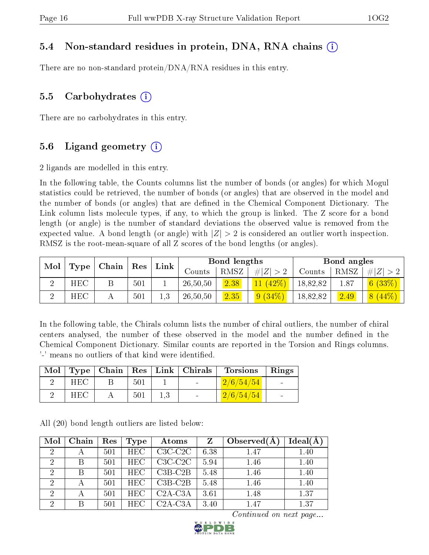#### 5.4 Non-standard residues in protein, DNA, RNA chains (i)

There are no non-standard protein/DNA/RNA residues in this entry.

#### 5.5 Carbohydrates  $(i)$

There are no carbohydrates in this entry.

#### 5.6 Ligand geometry  $(i)$

2 ligands are modelled in this entry.

In the following table, the Counts columns list the number of bonds (or angles) for which Mogul statistics could be retrieved, the number of bonds (or angles) that are observed in the model and the number of bonds (or angles) that are dened in the Chemical Component Dictionary. The Link column lists molecule types, if any, to which the group is linked. The Z score for a bond length (or angle) is the number of standard deviations the observed value is removed from the expected value. A bond length (or angle) with  $|Z| > 2$  is considered an outlier worth inspection. RMSZ is the root-mean-square of all Z scores of the bond lengths (or angles).

| Mol |            | Chain |     | Link |          | Bond lengths |             |          | Bond angles |             |
|-----|------------|-------|-----|------|----------|--------------|-------------|----------|-------------|-------------|
|     | Type       |       | Res |      | Counts   | RMSZ         | # $ Z  > 2$ | Counts   | RMSZ        | # $ Z  > 2$ |
|     | <b>HEC</b> |       | 501 |      | 26,50,50 | 2.38         | $ 42\%$     | 18,82,82 | 1.87        | (6 (33%)    |
|     | <b>HEC</b> |       | 501 | 1.3  | 26,50,50 | 2.35         | $9(34\%)$   | 18,82,82 | 2.49        | $8(44\%)$   |

In the following table, the Chirals column lists the number of chiral outliers, the number of chiral centers analysed, the number of these observed in the model and the number defined in the Chemical Component Dictionary. Similar counts are reported in the Torsion and Rings columns. '-' means no outliers of that kind were identified.

| Mol |            |     | Type   Chain   Res   Link   Chirals | <b>Torsions</b> | Rings  |
|-----|------------|-----|-------------------------------------|-----------------|--------|
|     | <b>HEC</b> | 501 | <b>Contract Contract</b>            | 2/6/54/54       |        |
|     | <b>HEC</b> | 501 | <b>Contract Contract</b>            | 2/6/54/54       | $\sim$ |

All (20) bond length outliers are listed below:

| Mol            | Chain | Res | Type       | Atoms     | $\mathbf{Z}$ | Observed $(A)$ | $Ideal(\AA)$ |
|----------------|-------|-----|------------|-----------|--------------|----------------|--------------|
| $\overline{2}$ | А     | 501 | HEC.       | $C3C-C2C$ | 6.38         | 1.47           | 1.40         |
| $\overline{2}$ | B     | 501 | <b>HEC</b> | $C3C-C2C$ | 5.94         | 1.46           | 1.40         |
| 2              | B     | 501 | <b>HEC</b> | $C3B-C2B$ | 5.48         | 1.46           | 1.40         |
|                |       | 501 | <b>HEC</b> | $C3B-C2B$ | 5.48         | 1.46           | 1.40         |
| 2              | А     | 501 | <b>HEC</b> | $C2A-C3A$ | 3.61         | 1.48           | 1.37         |
| $\overline{2}$ | B     | 501 | <b>HEC</b> | $C2A-C3A$ | 3.40         | 1.47           | 1.37         |

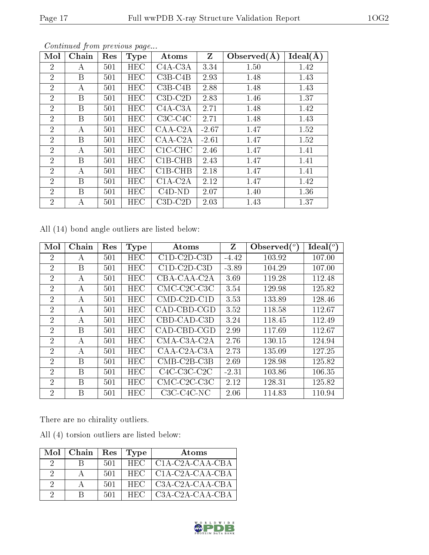| Mol            | Chain | Res | <b>Type</b> | Atoms     | Z       | Observed $(A)$ | Ideal(A) |
|----------------|-------|-----|-------------|-----------|---------|----------------|----------|
| $\overline{2}$ | А     | 501 | <b>HEC</b>  | $C4A-C3A$ | 3.34    | 1.50           | 1.42     |
| $\overline{2}$ | B     | 501 | <b>HEC</b>  | $C3B-C4B$ | 2.93    | 1.48           | 1.43     |
| $\overline{2}$ | А     | 501 | HEC         | $C3B-C4B$ | 2.88    | 1.48           | 1.43     |
| $\overline{2}$ | B     | 501 | HEC         | $C3D-C2D$ | 2.83    | 1.46           | 1.37     |
| $\overline{2}$ | B     | 501 | HEC         | $C4A-C3A$ | 2.71    | 1.48           | 1.42     |
| $\overline{2}$ | B     | 501 | HEC         | $C3C-C4C$ | 2.71    | 1.48           | 1.43     |
| $\overline{2}$ | А     | 501 | <b>HEC</b>  | $CAA-C2A$ | $-2.67$ | 1.47           | 1.52     |
| $\overline{2}$ | B     | 501 | <b>HEC</b>  | $CAA-C2A$ | $-2.61$ | 1.47           | 1.52     |
| $\overline{2}$ | А     | 501 | <b>HEC</b>  | $C1C-CHC$ | 2.46    | 1.47           | 1.41     |
| $\overline{2}$ | B     | 501 | HEC         | $C1B-CHB$ | 2.43    | 1.47           | 1.41     |
| $\overline{2}$ | А     | 501 | <b>HEC</b>  | $C1B-CHB$ | 2.18    | 1.47           | 1.41     |
| $\overline{2}$ | B     | 501 | HEC         | $C1A-C2A$ | 2.12    | 1.47           | 1.42     |
| $\overline{2}$ | B     | 501 | HEC         | $C4D-ND$  | 2.07    | 1.40           | 1.36     |
| $\overline{2}$ | А     | 501 | HEC         | $C3D-C2D$ | 2.03    | 1.43           | 1.37     |

Continued from previous page...

All (14) bond angle outliers are listed below:

| Mol            | Chain          | Res | <b>Type</b> | Atoms                 | Z       | Observed $(°)$ | Ideal (°) |
|----------------|----------------|-----|-------------|-----------------------|---------|----------------|-----------|
| $\overline{2}$ | A              | 501 | HEC         | $C1D-C2D-C3D$         | $-4.42$ | 103.92         | 107.00    |
| $\overline{2}$ | B              | 501 | HEC         | $C1D-C2D-C3D$         | $-3.89$ | 104.29         | 107.00    |
| $\overline{2}$ | А              | 501 | HEC         | CBA-CAA-C2A           | 3.69    | 119.28         | 112.48    |
| $\overline{2}$ | $\overline{A}$ | 501 | <b>HEC</b>  | $CMC-C2C-C3C$         | 3.54    | 129.98         | 125.82    |
| $\overline{2}$ | А              | 501 | <b>HEC</b>  | $CMD$ - $C2D$ - $C1D$ | 3.53    | 133.89         | 128.46    |
| $\overline{2}$ | А              | 501 | <b>HEC</b>  | CAD-CBD-CGD           | 3.52    | 118.58         | 112.67    |
| $\overline{2}$ | А              | 501 | HEC         | CBD-CAD-C3D           | 3.24    | 118.45         | 112.49    |
| $\overline{2}$ | B              | 501 | <b>HEC</b>  | CAD-CBD-CGD           | 2.99    | 117.69         | 112.67    |
| $\overline{2}$ | А              | 501 | <b>HEC</b>  | CMA-C3A-C2A           | 2.76    | 130.15         | 124.94    |
| $\overline{2}$ | А              | 501 | <b>HEC</b>  | CAA-C2A-C3A           | 2.73    | 135.09         | 127.25    |
| $\overline{2}$ | B              | 501 | <b>HEC</b>  | $CMB-C2B-C3B$         | 2.69    | 128.98         | 125.82    |
| $\overline{2}$ | B              | 501 | <b>HEC</b>  | $C4C-C3C-C2C$         | $-2.31$ | 103.86         | 106.35    |
| $\overline{2}$ | B              | 501 | <b>HEC</b>  | $CMC-C2C-C3C$         | 2.12    | 128.31         | 125.82    |
| $\overline{2}$ | В              | 501 | HEC         | C3C-C4C-NC            | 2.06    | 114.83         | 110.94    |

There are no chirality outliers.

All (4) torsion outliers are listed below:

|          | $Mol$   Chain | Res | Type | Atoms             |
|----------|---------------|-----|------|-------------------|
| $\cdot$  |               | 501 | HEC. | $C1A-C2A-CAA-CBA$ |
| $\Omega$ |               | 501 | HEC. | C1A-C2A-CAA-CBA   |
|          |               | 501 | HEC. | $C3A-C2A-CAA-CBA$ |
|          |               | 501 | HEC. | $C3A-C2A-CAA-CBA$ |

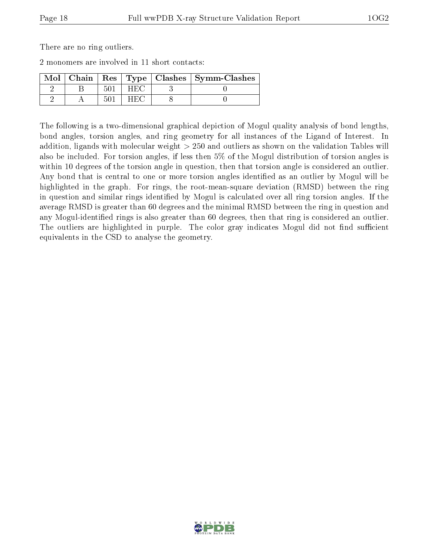There are no ring outliers.

2 monomers are involved in 11 short contacts:

| Mol |  |       | Chain   Res   Type   Clashes   Symm-Clashes |
|-----|--|-------|---------------------------------------------|
|     |  | H H.C |                                             |
|     |  |       |                                             |

The following is a two-dimensional graphical depiction of Mogul quality analysis of bond lengths, bond angles, torsion angles, and ring geometry for all instances of the Ligand of Interest. In addition, ligands with molecular weight > 250 and outliers as shown on the validation Tables will also be included. For torsion angles, if less then 5% of the Mogul distribution of torsion angles is within 10 degrees of the torsion angle in question, then that torsion angle is considered an outlier. Any bond that is central to one or more torsion angles identified as an outlier by Mogul will be highlighted in the graph. For rings, the root-mean-square deviation (RMSD) between the ring in question and similar rings identified by Mogul is calculated over all ring torsion angles. If the average RMSD is greater than 60 degrees and the minimal RMSD between the ring in question and any Mogul-identified rings is also greater than 60 degrees, then that ring is considered an outlier. The outliers are highlighted in purple. The color gray indicates Mogul did not find sufficient equivalents in the CSD to analyse the geometry.

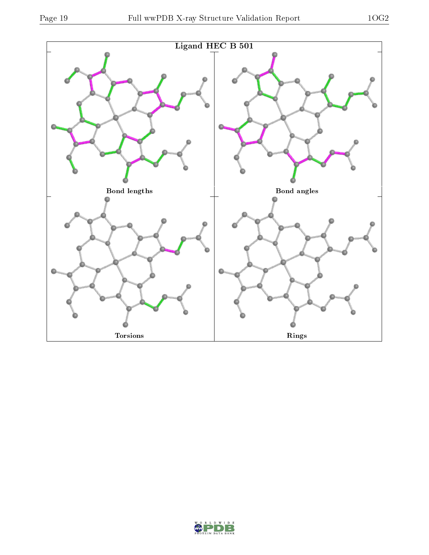

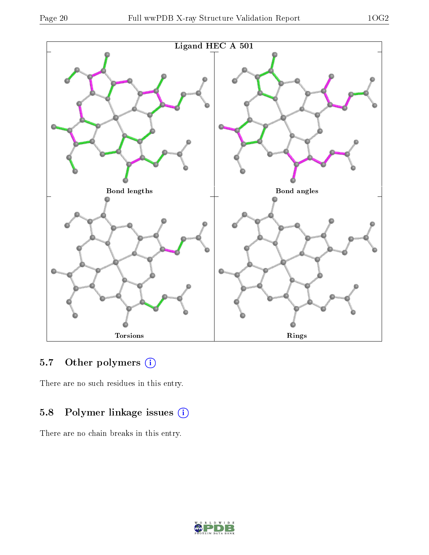

### 5.7 [O](https://www.wwpdb.org/validation/2017/XrayValidationReportHelp#nonstandard_residues_and_ligands)ther polymers (i)

There are no such residues in this entry.

### 5.8 Polymer linkage issues (i)

There are no chain breaks in this entry.